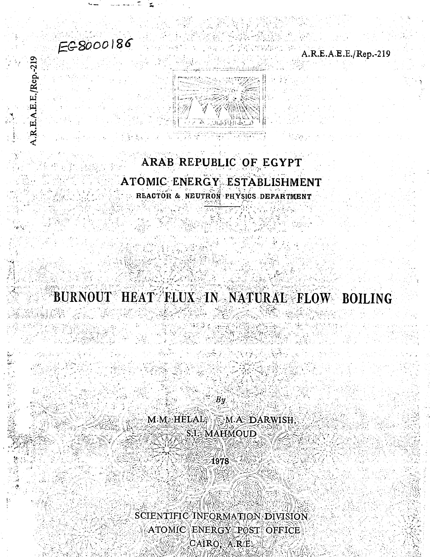# EC-8000186

A.R.E.A.E.E./Rep.-219

A.R.E.A.E.E./Rep.-219



# ARAB REPUBLIC OF EGYPT ATOMIC ENERGY ESTABLISHMENT REACTOR & NEUTRON PHYSICS DEPARTMENT

BURNOUT HEAT FLUX IN NATURAL FLOW BOILING

展空

 $By$ M.M. HELAL, M.A. DARWISH, STAMAHMOUD

1978

SCIENTIFIC INFORMATION DIVISION ATOMIC ENERGY POST OFFICE CAIRO, A.R.E.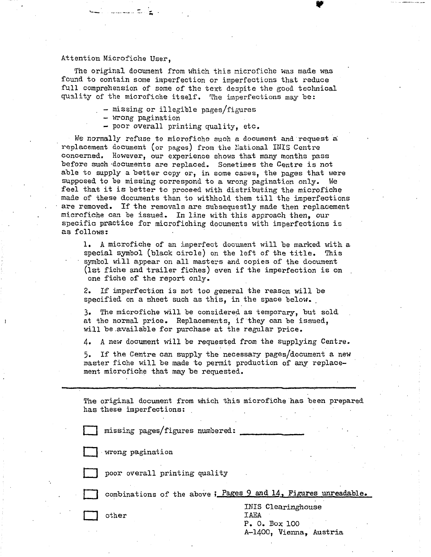#### Attention Microfiche User,

المتحدد المتحددين

The original document from which this microfiche was made was found to contain some imperfection or imperfections that reduce full comprehension of some of the text despite the good technical quality of the microfiche itself. The imperfections may be:

- missing or illegible pages/figures
- wrong pagination
- poor overall printing quality, etc.

We normally refuse to microfiche such a document and request a replacement document (or pages) from the National INIS Centre concerned. However, our experience shows that many months pass before such -documents are replaced. Sometimes the Centre is not able to supply a better copy or, in some cases, the pages that were supposed to be missing correspond to a wrong pagination only. We feel that it is better to proceed with distributing the microfiche made of these documents than to withhold them till the imperfections are removed. If the removals are subsequestly made then replacement microfiche can be issued. In line with this approach then, our specific practice for microfiching documents with imperfections is as follows:

1. A microfiche of an imperfect document will be marked with a special symbol (black circle) on the left of the title. This symbol will appear on all masters and copies of the document (1st fiche and trailer fiches) even if the imperfection is on one fiche of the report only.

2. If imperfection is not too general the reason will be specified on a sheet such as this, in the space below.

3. The microfiche will be considered as temporary, but sold at the normal price. Replacements, if they can be issued, will be available for purchase at the regular price.

4. A new document will be requested from the supplying Centre.

5. If the Centre can supply the necessary pages/document a new master fiche will be made to permit production of any replacement microfiche that may be requested.

The original document from which this microfiche has been prepared has these imperfections:

missing pages/figures numbered:



wrong pagination

poor overall printing quality

combinations of the above  $;$  Pages 9 and 14, Figures unreadable.

INIS Clearinghouse | other IAEA P. 0. Box 100 A-1400, Vienna, Austria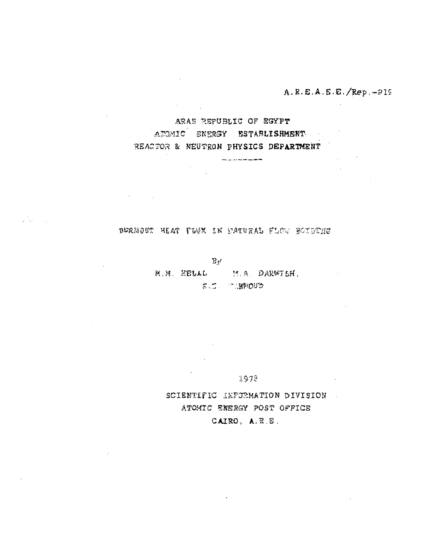A.R.E.A.E.E./Rep.-219

ARAE REPUBLIC OF EGYPT ATOMIC ENERGY ESTABLISHMENT REACTOR & NEUTRON PHYSICS DEPARTMENT

.<br>The paint of the state and state and the

 $\mathcal{O}(n^2)$  , where  $\mathcal{O}(n^2)$ 

 $\mathbb{R}^{\mathbb{Z}^2}$ 

an<br>Alban (1911)

BURNOUT HEAT FLUX IN MATURAL FLOW BOTHFUR

 $\mathbb{R}$ y

M.M. EELAL M.A. DAKWISH. **E.C. MANAGUS** 

1978

SCIENTIFIC INFORMATION DIVISION ATOMIC ENERGY POST OFFICE CAIRO, A.R.E.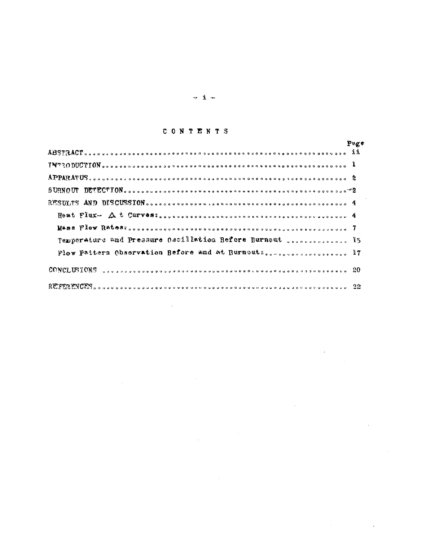#### CONTENTS

|  |  |                                                                                                                                                                                                                                                                                                                                   | Pnge |
|--|--|-----------------------------------------------------------------------------------------------------------------------------------------------------------------------------------------------------------------------------------------------------------------------------------------------------------------------------------|------|
|  |  |                                                                                                                                                                                                                                                                                                                                   |      |
|  |  | $\texttt{i}$ ) $\texttt{i}$ $\texttt{i}$ $\texttt{i}$ $\texttt{i}$ $\texttt{i}$ $\texttt{v}$ $\texttt{v}$ $\texttt{v}$ $\texttt{v}$ $\texttt{v}$ $\texttt{v}$ $\texttt{v}$ $\texttt{v}$ $\texttt{v}$ $\texttt{v}$ $\texttt{v}$ $\texttt{v}$ $\texttt{v}$ $\texttt{v}$ $\texttt{v}$ $\texttt{v}$ $\texttt{v}$ $\texttt{v}$ $\text$ |      |
|  |  |                                                                                                                                                                                                                                                                                                                                   |      |
|  |  | $B URM UU U U U U U U U U U U U U U U U U U U U U U U U U U U U U$                                                                                                                                                                                                                                                                |      |
|  |  |                                                                                                                                                                                                                                                                                                                                   |      |
|  |  |                                                                                                                                                                                                                                                                                                                                   |      |
|  |  |                                                                                                                                                                                                                                                                                                                                   |      |
|  |  | Temperature and Pressure Oscillation Before Burnout secondences is                                                                                                                                                                                                                                                                |      |
|  |  |                                                                                                                                                                                                                                                                                                                                   |      |
|  |  | $CONF_L(X)$ $(0)$ $S$ $(0)$ $(0)$ $(0)$ $(0)$ $(0)$ $(0)$ $(0)$ $(0)$ $(0)$ $(0)$ $(0)$ $(0)$ $(0)$ $(0)$ $(0)$ $(0)$ $(0)$ $(0)$ $(0)$ $(0)$ $(0)$                                                                                                                                                                               |      |
|  |  |                                                                                                                                                                                                                                                                                                                                   |      |
|  |  |                                                                                                                                                                                                                                                                                                                                   |      |

 $\label{eq:2} \frac{1}{\sqrt{2}}\left(\frac{1}{\sqrt{2}}\right)^2\left(\frac{1}{\sqrt{2}}\right)^2\left(\frac{1}{\sqrt{2}}\right)^2\left(\frac{1}{\sqrt{2}}\right)^2.$ 

 $\label{eq:2.1} \frac{1}{\sqrt{2}}\left(\frac{1}{\sqrt{2}}\right)^{2} \left(\frac{1}{\sqrt{2}}\right)^{2} \left(\frac{1}{\sqrt{2}}\right)^{2} \left(\frac{1}{\sqrt{2}}\right)^{2} \left(\frac{1}{\sqrt{2}}\right)^{2} \left(\frac{1}{\sqrt{2}}\right)^{2} \left(\frac{1}{\sqrt{2}}\right)^{2} \left(\frac{1}{\sqrt{2}}\right)^{2} \left(\frac{1}{\sqrt{2}}\right)^{2} \left(\frac{1}{\sqrt{2}}\right)^{2} \left(\frac{1}{\sqrt{2}}\right)^{2} \left(\$ 

 $\mathcal{L}^{\text{max}}_{\text{max}}$  and  $\mathcal{L}^{\text{max}}_{\text{max}}$ 

 $\mathcal{L}^{\mathcal{L}}(\mathcal{L}^{\mathcal{L}})$  and  $\mathcal{L}^{\mathcal{L}}(\mathcal{L}^{\mathcal{L}})$  and  $\mathcal{L}^{\mathcal{L}}(\mathcal{L}^{\mathcal{L}})$ 

 $\label{eq:2.1} \frac{1}{\sqrt{2}}\left(\frac{1}{\sqrt{2}}\right)^{2} \left(\frac{1}{\sqrt{2}}\right)^{2} \left(\frac{1}{\sqrt{2}}\right)^{2} \left(\frac{1}{\sqrt{2}}\right)^{2} \left(\frac{1}{\sqrt{2}}\right)^{2} \left(\frac{1}{\sqrt{2}}\right)^{2} \left(\frac{1}{\sqrt{2}}\right)^{2} \left(\frac{1}{\sqrt{2}}\right)^{2} \left(\frac{1}{\sqrt{2}}\right)^{2} \left(\frac{1}{\sqrt{2}}\right)^{2} \left(\frac{1}{\sqrt{2}}\right)^{2} \left(\$ 

 $\label{eq:2.1} \frac{1}{\sqrt{2}}\int_{\mathbb{R}^3}\frac{1}{\sqrt{2}}\left(\frac{1}{\sqrt{2}}\right)^2\frac{1}{\sqrt{2}}\left(\frac{1}{\sqrt{2}}\right)^2\frac{1}{\sqrt{2}}\left(\frac{1}{\sqrt{2}}\right)^2\frac{1}{\sqrt{2}}\left(\frac{1}{\sqrt{2}}\right)^2\frac{1}{\sqrt{2}}\left(\frac{1}{\sqrt{2}}\right)^2\frac{1}{\sqrt{2}}\left(\frac{1}{\sqrt{2}}\right)^2\frac{1}{\sqrt{2}}\left(\frac{1}{\sqrt{2}}\right)^2\frac{1}{\sqrt{$ 

 $\begin{array}{ccccc}\n\mathbf{a} & \mathbf{1} & \mathbf{a}\n\end{array}$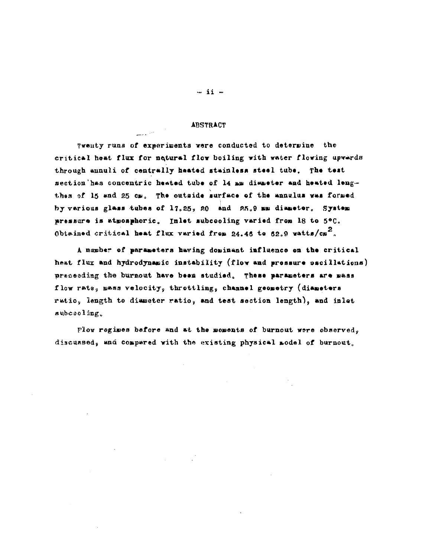#### **ABSTRACT**

المرادي للمسا

Twenty runs of experiments were conducted to determine the critical heat flux for natural flow boiling with water flowing upwards through annuli of centrally heated stainless steel tube. The test section has concentric heated tube of 14 mm diameter and heated lengthes of 15 and 25 cm. The outside surface of the annulus was formed by various glass tubes of  $17.25$ , 20 and  $25.9$  mm diameter. System pressure is atmosphoric. Inlet subcooling varied from 18 to 5°C. Obtained critical heat flux varied from 24.46 to 62.9 vatts/ $cn^2$ .

A number of parameters having dominant influence on the critical heat flux and hydrodynamic instability (flow and pressure escillations) preceeding the burnout have been studied. These parameters are mass flow rate, mass velocity, throttling, channel geometry (diameters ratio, length to diameter ratio, and test section length), and inlet subceeling.

Flow regimes before and at the moments of burnout were observed. discussed, and compared with the existing physical model of burnout.

 $-$  ii  $-$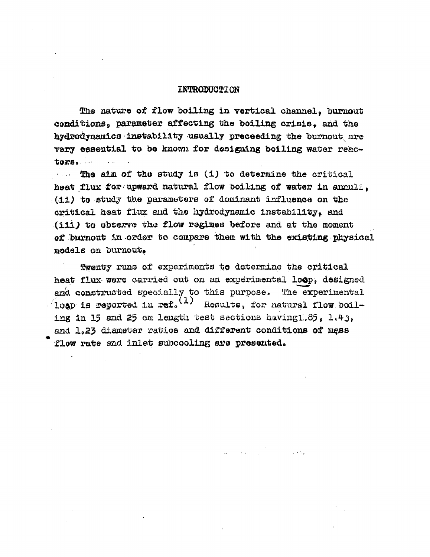#### INTRODUCTION

The nature of flow boiling in vertical channel, burnout conditions, parameter affecting the boiling crisis, and the hydrodynamics instability usually preceeding the burnout are very essential to be known for designing boiling water reactors.

**•... The aim of the study is (i) to determine the critical** heat flux for-upward natural flow boiling of water in annuli, (ii) to study the parameters of dominant influence on the critical heat flux and the hydrodynamic instability*f* and (iii) to observe the flow regimes before and at the moment of burnout in order to compare them with the existing physical models on burnout.

Twenty runs of experiments to determine the critical heat flux were carried out on an experimental loop, designed and constructed specially to this purpose. The experimental  $\sqrt{2}$ loap is reported in ref.<sup>(1)</sup> Results, for natural flow boiling in 15 and 25 cm length test sections having  $1.35$ ,  $1.43$ , and 1.23 diameter ratios and different conditions of mass flow rate and inlet subcooling are presented.

per construction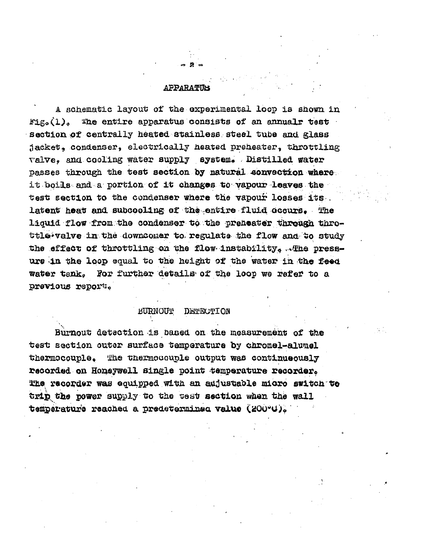#### **APPARATTIS**

 $∞ 2 =$ 

A schematic layout of the experimental loop is shown in  $\text{diag}(1)$ . The entire apparatus consists of an annualr test section of centrally heated stainless steel tube and glass jacket, condenser, electrically neated preheater, throttling valve, and cooling water supply aystem. Distilled water passes through the test section by natural convection where it boils and a portion of it changes to vapour leaves the test section to the condenser where the vapour losses its . latent heat and subcooling of the entire fluid occurs. The liquid flow from the condenser to the preheater through throttle-valve in the downcomer to regulate the flow and to study the effect of throttling on the flow instability, . The pressure in the loop equal to the height of the water in the feed water tank. For further details of the loop we refer to a previous report.

#### BURNOUT DETECTION

Burnout detection is based on the measurement of the test section outer surface temperature by chromel-alumel thermocouple. The thermocouple output was continueously recorded on Honeywell single point temperature recorder. l!ha recorder was equipped with an adjustable micro switch to trip the power supply to the test section when the wall temperature reached a predeterminea value (200°C).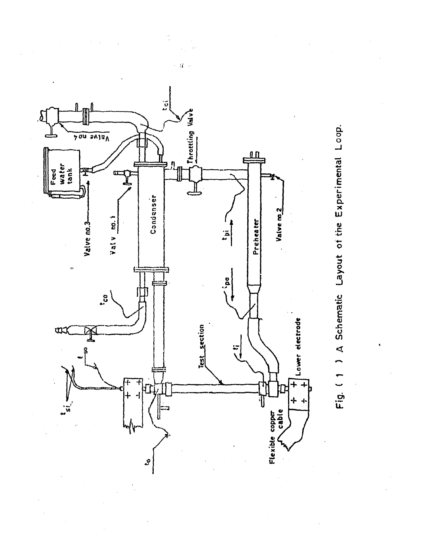

Fig. (1) A Schematic Layout of the Experimental Loop.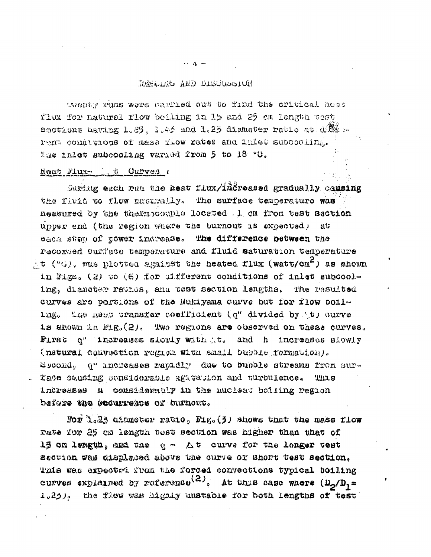#### RESCRIB AND DISCUSSION

twenty tuns were carried out to find the critical heat flux for natural flow boiling in 15 and 25 cm length test sections hevier 1.89. 1.45 and 1.25 diameter ratio at d. .. rent comúlvaous of mass riow rates and inlet subcooling. The inlet subcooling varied from 5 to 18 °C.

## Heat Plus ( t Curves :

Auxing each run the heat flux/increased gradually causing the fluid to flow maturally. The surface temperature was measured by the thermocouple located 1 cm from test section upper end (the region where the burnout is expected) at each step of tower indresse. The difference between the recorded surface temperature and fluid saturation temperature  $\pm$ t ("G), was plotted against the heated flux (watt/cm<sup>2</sup>) as shown in Figs. (2) to (6) for ultferent conditions of inlet subcooling, diameter ratios, and test section lengths. The resulted curves are portions of the Mukiyama curve but for flow boiling. the heat wransfer coefficient (q" divided by (t) curve. is shown in Mig. (2). Two regions are observed on these curves. First q" increases slowly with t. and h increases slowly (natural convection region with small bubble formation). Escond, q" uncreases rapidly due to bubble streams from sur-Kace sausing sensiderable agatation and turbulence. This increases a considerably in the nucleat boiling region before the securrence of burnout.

Jor l.23 ciameter ratio, Fig. (3) shows that the mass flow rate for 25 cm length test section was higher than that of 15 cm length, and the q = At curve for the longer test Section was displaced above the ourve of Short test section. This was expected from the forced convections typical boiling curves explained by reference<sup>(2)</sup>. At this case where  $(\mathbf{D}_2/\mathbf{D}_1 =$ 1.25). the flow was highly unstable for both lengths of test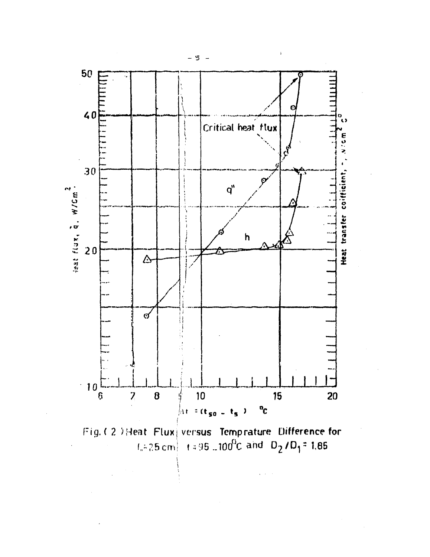

Fig. (2) Heat Flux versus Temprature Difference for<br> $1.425 \text{ cm}$  +  $4.95 \text{ m}$  00<sup>0</sup>C and D<sub>2</sub>/D<sub>1</sub>=1.85

- ៗ -

 $\ddot{\phantom{a}}$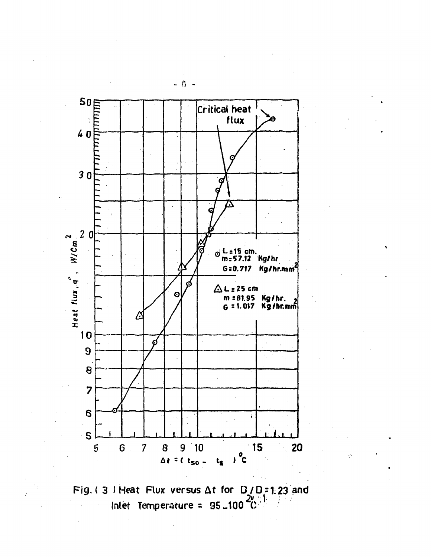



 $- 0 -$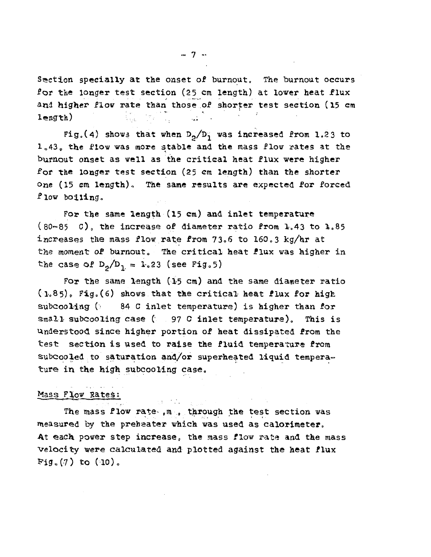Section specially at the onset of burnout. The burnout occurs for the longer test section (25 cm length) at lower heat flux and higher flow rate than those of shorter test section (15 cm length)  $\qquad \qquad \qquad \qquad \frac{1}{2}$ 

Fig.(4) shows that when  $D_2/D_1$  was increased from 1.23 to 1.43. the flow was more stable and the mass flow rates at the burnout onset as well as the critical heat flux were higher for the longer test section (25 cm length) than the shorter one (15 cm length). The same results are expected for forced flow boiling..

For the same length (15 cm) and inlet temperature  $(80-85 C)$ , the increase of diameter ratio from 1.43 to 1.85 increases the mass flow rate from  $73.6$  to  $160.3$  kg/hr at the moment of burnout. The critical heat flux was higher in the case of  $D_9/D_1 = 1.23$  (see Fig.5)

For the same length (15 cm) and the same diameter ratio  $(1.85)$ , Fig. (6) shows that the critical heat flux for high subcooling (84 C inlet temperature) is higher than for small subcooling case (97 C inlet temperature). This is Understood since higher portion of heat dissipated from the test section is used to raise the fluid temperature from subcooled to saturation and/or superheated liquid temperature in the high subcooling case.

### Mass Flow Rates;

The mass flow rate-  $,m$ , through the test section was measured by the preheater which was used as calorimeter. At each power step increase, the mass flow rate and the mass velocity were calculated and plotted against the heat flux Fig.  $(7)$  to  $(10)$ .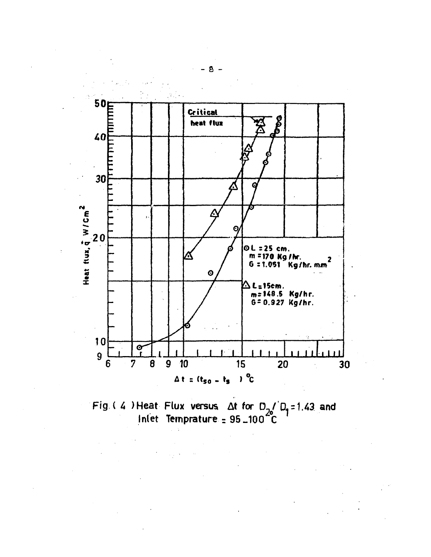

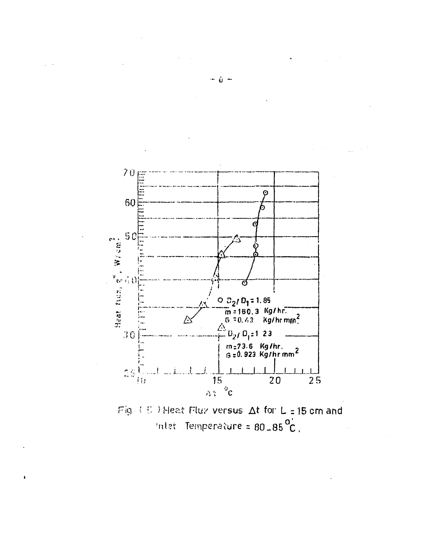

Fig.  $(35)$  Heat Flux versus  $\Delta t$  for  $L = 15$  cm and Inter Temperature =  $80-85\degree C$ .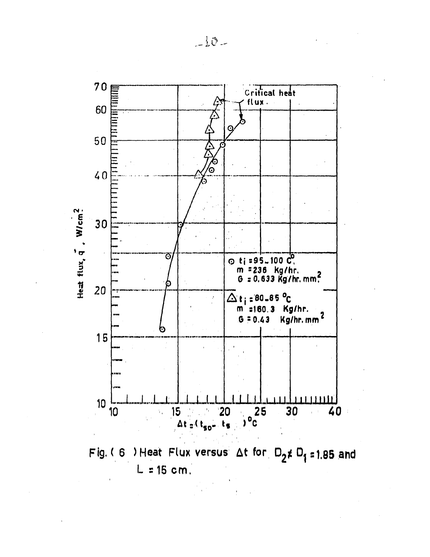

Fig. (6) Heat Flux versus  $\Delta t$  for  $D_2 \neq D_1 = 1.85$  and  $L = 15$  cm.

 $-10-$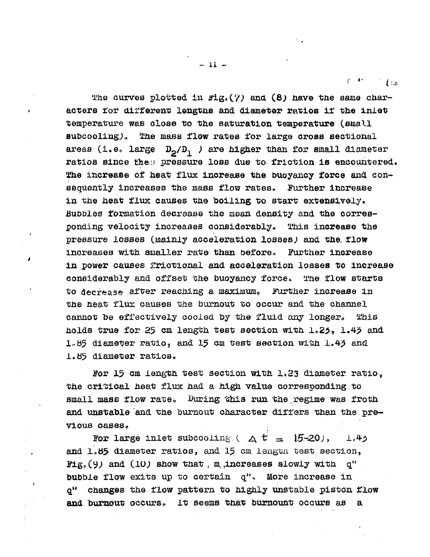$f(x)$ 

The curves plotted in  $\text{Hg}_*(7)$  and (8) have the same characters tor different lengths and diameter ratios if the inlet temperature was close to tne saturation temperature (small  $\texttt{subcooling}.$  The mass flow rates for large cross sectional areas (i.e. large  $D_p / D_1$  ) are higher than for small diameter ratios since thes pressure loss due to friction is encountered. The increase of heat flux increase the buoyancy force and consequently increases the mass flow rates. Further increase in the heat flux causes the boiling to start extensively. Bubbles formation decrease the mean density and the corresponding velocity increases considerably. This increase the pressure losses (mainly acceleration losses) and the flow increases with smaller rate than before. Further increase in power causes frictional and acceleration losses to increase considerably and offset the buoyancy force. The flow starts to decrease after reaching a maximum. Further increase in the heat flux causes the burnout to occur and the channel cannot be effectively cooled by the fluid any longer. This holds true for 25 cm length test section with 1.25, 1.43 and  $1.85$  diameter ratio, and 15 cm test section with  $1.43$  and 1.85 diameter ratios.

For  $15$  cm length test section with  $1.23$  diameter ratio, the critical heat flux had a high value corresponding to small mass flow rate. During this run the regime was froth and unstable and the burnout character differs than the previous cases.

For large inlet subcooling. ( $\Delta t = 15-20$ ), L.45 and 1.85 diameter ratios, and 15 cm lengtn test section, Fig. (9) and (10) show that, m,increases slowly with  $q''$ bubble flow exits up to certain q<sup>\*</sup>. More increase in q" changes the flow pattern to highly unstable piston flow and burnout occurs. It seems that burnount occurs as a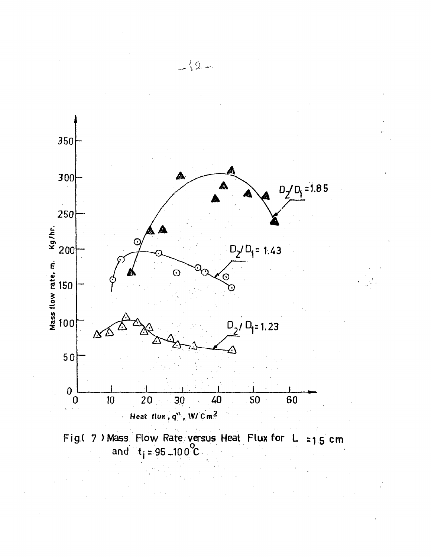



 $-32 -$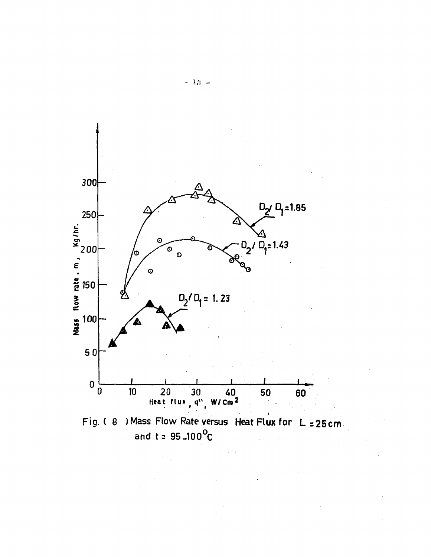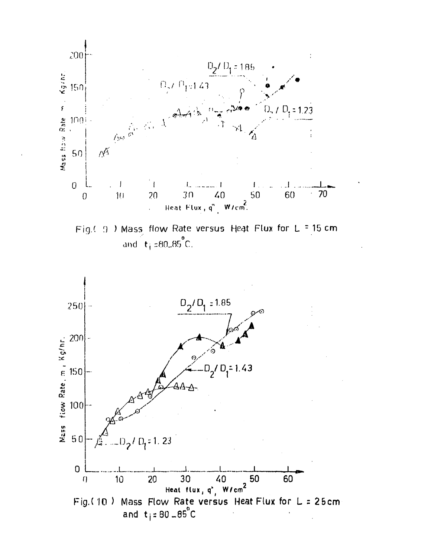

Fig.( 9 ) Mass flow Rate versus Heat Flux for L = 15 cm and  $t_1 = 80.85^{\circ}$ C.

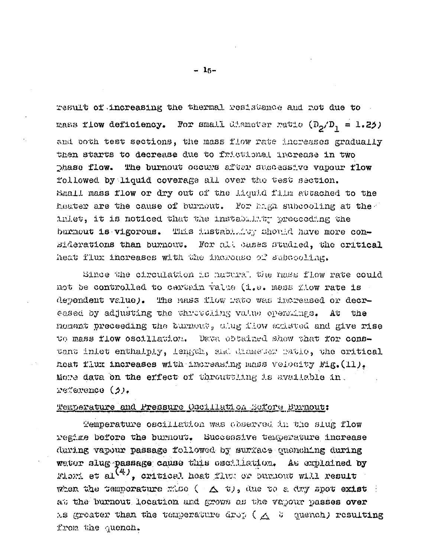result of increasing the thermal resistance and not due to mass flow deficiency. For small dimeter ratio  $(D_2/D_1 = 1.25)$ and both test sections, the mass flow rate increases gradually then starts to decrease due to frictlonal increase in two The burnout occurs after successive vapour flow Dhase flow. followed by liquid coverage all over the test section. Small mass flow or dry out of the Liquid film attached to the heater are the cause of burneut. For hagh subcooling at the inlet, it is noticed that the instability preceeding the burnout is vigorous. This instablator should have more considerations than burnout. For all cases studied, the critical heat flux increases with the increase of subcooling.

Since the circulation is natural the mass flow rate could not be controlled to certain value (i.e. mass flow rate is dependent value). The mass flow mate was increased or decreased by adjusting the chrittening value operatings. At the noment preceeding the burnout, slug flow ambuted and give rise to mass flow oscillation. Data obtained show that for constant inlet enthalply, length, and diameter ratio, the critical heat flux increases with increasing mass velocity Fig. (11). More data on the effect of throutting is evaluable in. reference (2).

#### Temperature and Pressure Oscillation Sefore Burnout:

Temperature oscillation was coserved in the slug flow regime before the burnout. Successive temperature increase during vapour passage followed by surface quenching during water slug passage cause this escilletion. As explained by Flori et al $\binom{4}{3}$ , critical heat flux or burnout will result when the temporature mise ( $\Delta$   $\psi$ , due to a dry spot exist ) at the burnout location and grows as the vapour passes over as greater than the temperature drop ( $\wedge$  ) quench) resulting from the quench.

 $-15-$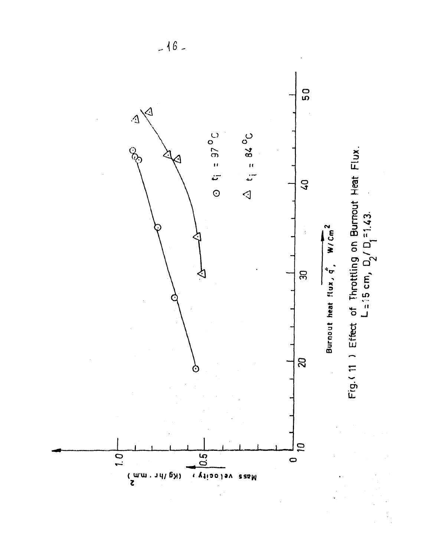

 $-16-$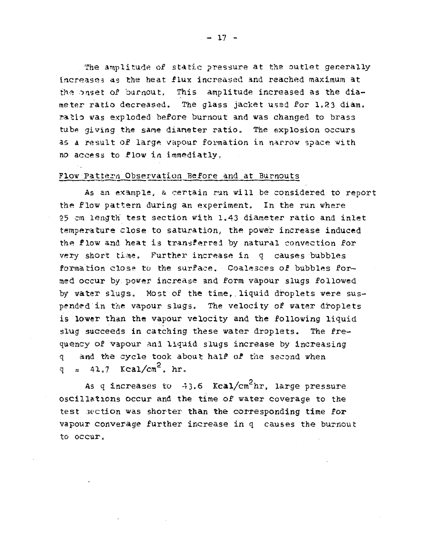The amplitude of static pressure at the outlet generally Increase.5 as the heat flux increased and reached maximum at the onset of burnout. This amplitude increased as the diameter ratio decreased. The glass jacket used for 1.23 diam. ratio was exploded before burnout and was changed to brass tube giving the same diameter ratio. The explosion occurs as a result of large vapour formation in narrow space with *r\o* access to -Plow in immediatly,

#### Flow Pattern Observation Before and at Burnouts

As an example, a certain run will be considered to report the flow pattern during an experiment. In the run where 25 cm length' test section with 1.43 diameter ratio and inlet temperature close to saturation, the power increase induced the flow and heat is transferred by natural convection for very short time. Further increase in q causes bubbles formation close to the surface. Coalesces of bubbles formed occur by power increase and form vapour slugs followed by water slugs. Most of the time, liquid droplets were suspended in the vapour slugs. The velocity of water droplets is lower than the vapour velocity and the following liquid slug succeeds in catching these water droplets. The frequency of vapour and liquid slugs increase by increasing q and the cycle took about half of the second when q  $\approx$  41.7 Kcal/cm<sup>2</sup>. hr.

As q increases to  $-43.6$  Kcal/cm<sup>2</sup>hr, large pressure oscillations occur and the time of water coverage to the test section was shorter than the corresponding time for vapour converage further increase in q causes the burnout to occur.

 $- 17 -$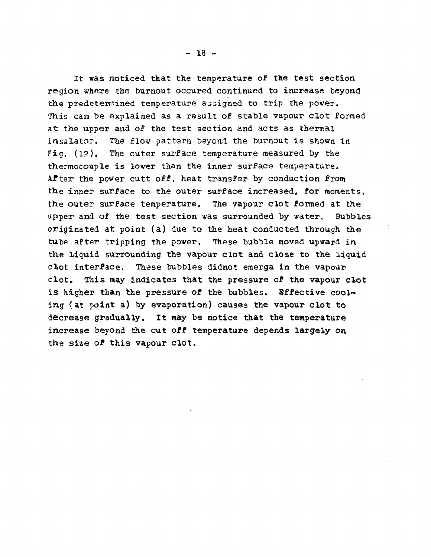It was noticed that the temperature of the test section region where the burnout occured continued to increase beyond the predetermined temperature a33igned to trip the power. This can be explained as a result of stable vapour clot formed at the upper and of the test section and acts as thermal insulator. The flow pattern beyond the burnout is shovn in Fig, (12). The outer surface temperature measured by the thermocouple is lover than the inner surface temperature. After the power cutt off, heat transfer by conduction from the inner surface to the outer surface increased, for moments, the outer surface temperature. The vapour clot formed at the upper and of the test section was surrounded by water. Bubbles originated at point (a) due to the heat conducted through the tube after tripping the power. These bubble moved upward in the liquid surrounding the vapour clot and close to the liquid clot interface. These bubbles didnot emerga in the vapour clot. This may indicates that the pressure of the vapour clot is higher than the pressure of the bubbles. Effective cooling (at point a) by evaporation) causes the vapour clot to decrease gradually. It may be notice that the temperature increase beyond the cut off temperature depends largely on the size of this vapour clot.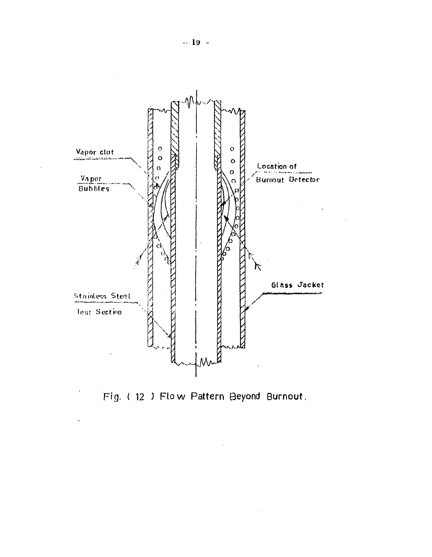

Fig. (12) Flow Pattern Beyond Burnout.

 $\bar{z}$ 

 $\bullet$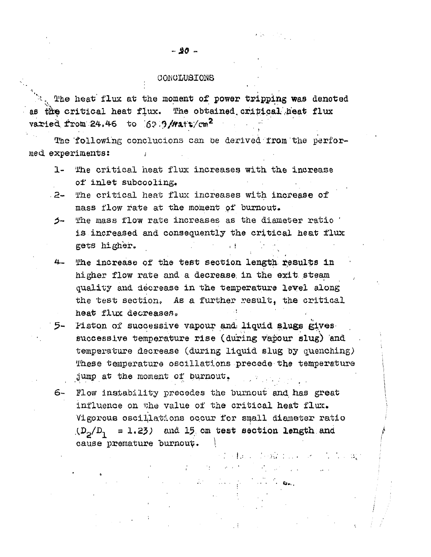#### CONCLUSIONS

**•> ' .**  v  $\mathcal{L}_{\mathcal{N}_{\mathcal{A}}}$  The heat flux at the moment of power tripping was denoted as the critical heat flux. The obtained critical heat flux varied from 24.46 to  $62.9$ /Watt/cm<sup>2</sup>  $\mathcal{L}=\mathcal{L}^{\text{max}}$ 

The following conclucions can be derived from the performed, experiments: ;

- 1- The critical heat flux increases with the increase of inlet subcooling.
- .2- The critical heat flux increases with increase of mass flow rate at the moment of burnout.
- $5-$  The mass flow rate increases as the diameter ratio  $'$ is increased and consequently the critical heat flux gets higher.
- 4- The increase of the test section length, results In higher flow rate and a decrease in the exit steam quality and decrease in the temperature level along the test section. As a further result, the critical heat flux decreases. **Service State State State**
- 5- Piston of successive vapour and; liquid slugs gives successive temperature rise (during vapour slug) and temperature decrease (during liquid slug by quenching) These temperature oscillations precede the temperature jump at the moment of burnout.
- 6- Plow instability precedes the burnout and, has great influence on the value of the critical heat flux. Vigorous oscillations occur for small diameter ratio  $(D_{\alpha}/D_{\alpha} = 1.23)$  and 15 cm test section length and cause premature Durnou^. *\*

The fact of each first control of the control

 $\label{eq:2.1} \mathcal{F}_{\mathcal{A}}^{\mathcal{A}}=\mathcal{F}_{\mathcal{A}}^{\mathcal{A}}\mathcal{F}_{\mathcal{A}}^{\mathcal{A}}=\mathcal{F}_{\mathcal{A}}^{\mathcal{A}}\mathcal{F}_{\mathcal{A}}^{\mathcal{A}}$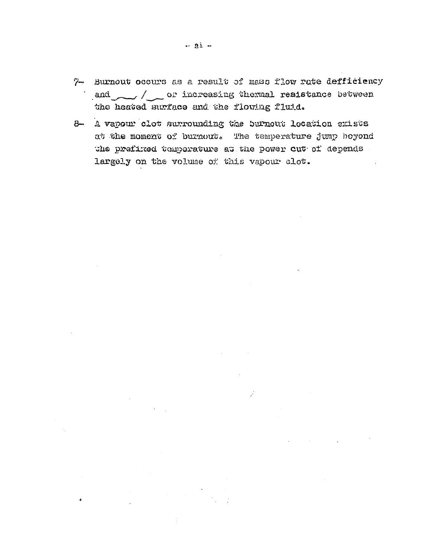- $7-$  Burnout occurs as a result of mass flow rate defficiency and / or increasing thermal resistance between the heated surface and the flowing fluid.
- 8- A vapour clot surrounding the burnout location exists at the moment of burnout. The temperature  $\lim p$  beyond the prefixed tomporature at the power cut of depends largely on the volume of this vapour clot.